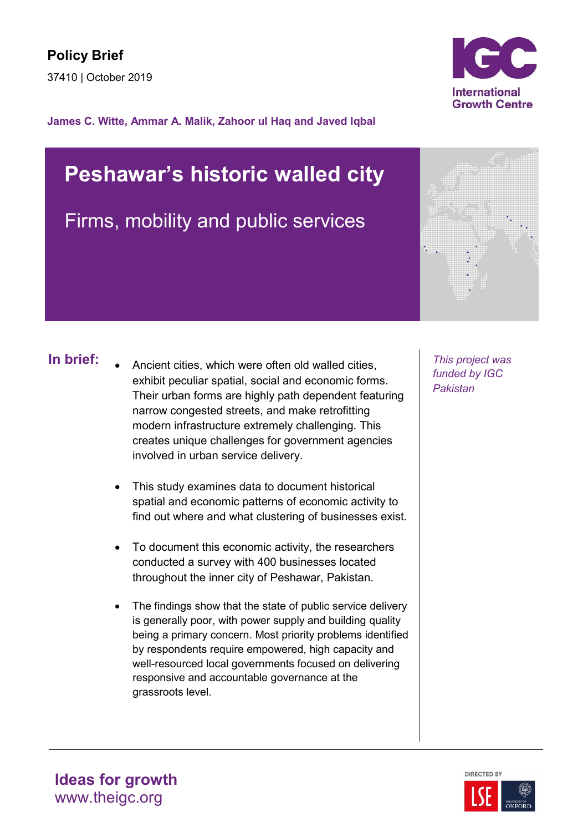

### **James C. Witte, Ammar A. Malik, Zahoor ul Haq and Javed Iqbal**

# **Peshawar's historic walled city**

Firms, mobility and public services



- **In brief:** Ancient cities, which were often old walled cities, This project was exhibit peculiar spatial, social and economic forms. Their urban forms are highly path dependent featuring narrow congested streets, and make retrofitting modern infrastructure extremely challenging. This creates unique challenges for government agencies involved in urban service delivery.
	- This study examines data to document historical spatial and economic patterns of economic activity to find out where and what clustering of businesses exist.
	- To document this economic activity, the researchers conducted a survey with 400 businesses located throughout the inner city of Peshawar, Pakistan.
	- The findings show that the state of public service delivery is generally poor, with power supply and building quality being a primary concern. Most priority problems identified by respondents require empowered, high capacity and well-resourced local governments focused on delivering responsive and accountable governance at the grassroots level.

*funded by IGC Pakistan*

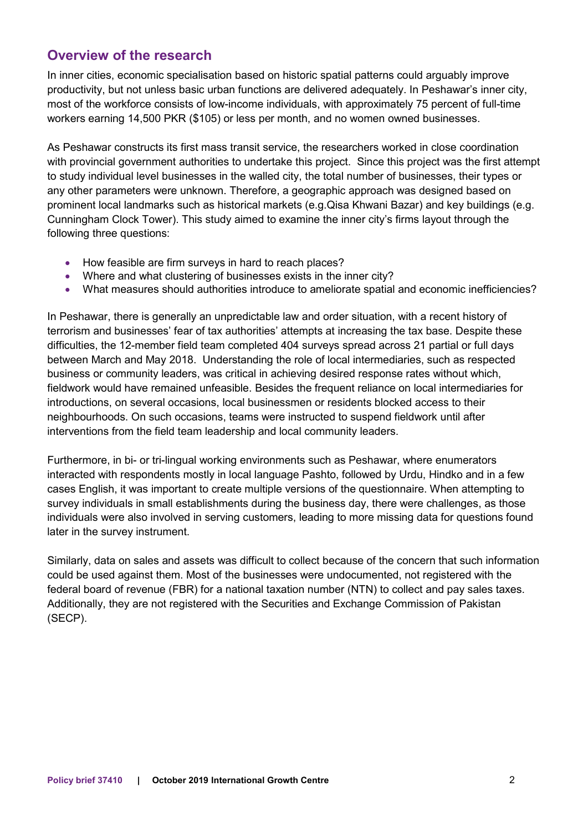# **Overview of the research**

In inner cities, economic specialisation based on historic spatial patterns could arguably improve productivity, but not unless basic urban functions are delivered adequately. In Peshawar's inner city, most of the workforce consists of low-income individuals, with approximately 75 percent of full-time workers earning 14,500 PKR (\$105) or less per month, and no women owned businesses.

As Peshawar constructs its first mass transit service, the researchers worked in close coordination with provincial government authorities to undertake this project. Since this project was the first attempt to study individual level businesses in the walled city, the total number of businesses, their types or any other parameters were unknown. Therefore, a geographic approach was designed based on prominent local landmarks such as historical markets (e.g.Qisa Khwani Bazar) and key buildings (e.g. Cunningham Clock Tower). This study aimed to examine the inner city's firms layout through the following three questions:

- How feasible are firm surveys in hard to reach places?
- Where and what clustering of businesses exists in the inner city?
- What measures should authorities introduce to ameliorate spatial and economic inefficiencies?

In Peshawar, there is generally an unpredictable law and order situation, with a recent history of terrorism and businesses' fear of tax authorities' attempts at increasing the tax base. Despite these difficulties, the 12-member field team completed 404 surveys spread across 21 partial or full days between March and May 2018. Understanding the role of local intermediaries, such as respected business or community leaders, was critical in achieving desired response rates without which, fieldwork would have remained unfeasible. Besides the frequent reliance on local intermediaries for introductions, on several occasions, local businessmen or residents blocked access to their neighbourhoods. On such occasions, teams were instructed to suspend fieldwork until after interventions from the field team leadership and local community leaders.

Furthermore, in bi- or tri-lingual working environments such as Peshawar, where enumerators interacted with respondents mostly in local language Pashto, followed by Urdu, Hindko and in a few cases English, it was important to create multiple versions of the questionnaire. When attempting to survey individuals in small establishments during the business day, there were challenges, as those individuals were also involved in serving customers, leading to more missing data for questions found later in the survey instrument.

Similarly, data on sales and assets was difficult to collect because of the concern that such information could be used against them. Most of the businesses were undocumented, not registered with the federal board of revenue (FBR) for a national taxation number (NTN) to collect and pay sales taxes. Additionally, they are not registered with the Securities and Exchange Commission of Pakistan (SECP).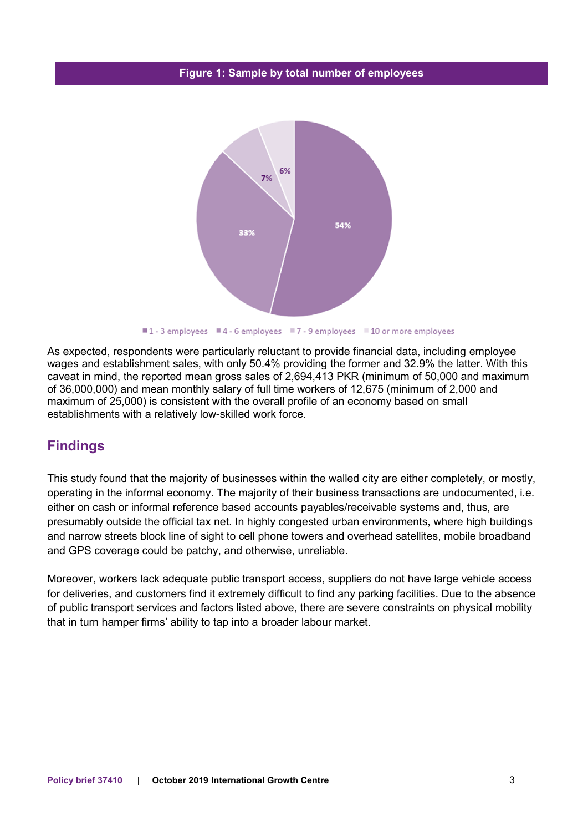#### **Figure 1: Sample by total number of employees**



■1-3 employees ■4-6 employees ■7-9 employees ■10 or more employees

As expected, respondents were particularly reluctant to provide financial data, including employee wages and establishment sales, with only 50.4% providing the former and 32.9% the latter. With this caveat in mind, the reported mean gross sales of 2,694,413 PKR (minimum of 50,000 and maximum of 36,000,000) and mean monthly salary of full time workers of 12,675 (minimum of 2,000 and maximum of 25,000) is consistent with the overall profile of an economy based on small establishments with a relatively low-skilled work force.

## **Findings**

This study found that the majority of businesses within the walled city are either completely, or mostly, operating in the informal economy. The majority of their business transactions are undocumented, i.e. either on cash or informal reference based accounts payables/receivable systems and, thus, are presumably outside the official tax net. In highly congested urban environments, where high buildings and narrow streets block line of sight to cell phone towers and overhead satellites, mobile broadband and GPS coverage could be patchy, and otherwise, unreliable.

Moreover, workers lack adequate public transport access, suppliers do not have large vehicle access for deliveries, and customers find it extremely difficult to find any parking facilities. Due to the absence of public transport services and factors listed above, there are severe constraints on physical mobility that in turn hamper firms' ability to tap into a broader labour market.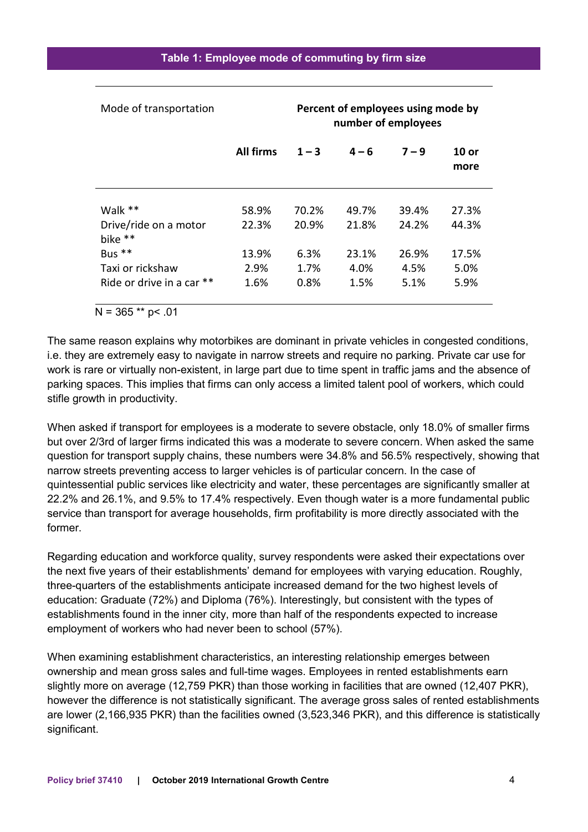| Mode of transportation           | Percent of employees using mode by<br>number of employees |         |         |         |               |
|----------------------------------|-----------------------------------------------------------|---------|---------|---------|---------------|
|                                  | <b>All firms</b>                                          | $1 - 3$ | $4 - 6$ | $7 - 9$ | 10 or<br>more |
| Walk **                          | 58.9%                                                     | 70.2%   | 49.7%   | 39.4%   | 27.3%         |
| Drive/ride on a motor<br>bike ** | 22.3%                                                     | 20.9%   | 21.8%   | 24.2%   | 44.3%         |
| Bus **                           | 13.9%                                                     | 6.3%    | 23.1%   | 26.9%   | 17.5%         |
| Taxi or rickshaw                 | 2.9%                                                      | 1.7%    | 4.0%    | 4.5%    | 5.0%          |
| Ride or drive in a car **        | 1.6%                                                      | 0.8%    | 1.5%    | 5.1%    | 5.9%          |
| $N = 365$ ** p< .01              |                                                           |         |         |         |               |

The same reason explains why motorbikes are dominant in private vehicles in congested conditions, i.e. they are extremely easy to navigate in narrow streets and require no parking. Private car use for work is rare or virtually non-existent, in large part due to time spent in traffic jams and the absence of parking spaces. This implies that firms can only access a limited talent pool of workers, which could stifle growth in productivity.

When asked if transport for employees is a moderate to severe obstacle, only 18.0% of smaller firms but over 2/3rd of larger firms indicated this was a moderate to severe concern. When asked the same question for transport supply chains, these numbers were 34.8% and 56.5% respectively, showing that narrow streets preventing access to larger vehicles is of particular concern. In the case of quintessential public services like electricity and water, these percentages are significantly smaller at 22.2% and 26.1%, and 9.5% to 17.4% respectively. Even though water is a more fundamental public service than transport for average households, firm profitability is more directly associated with the former.

Regarding education and workforce quality, survey respondents were asked their expectations over the next five years of their establishments' demand for employees with varying education. Roughly, three-quarters of the establishments anticipate increased demand for the two highest levels of education: Graduate (72%) and Diploma (76%). Interestingly, but consistent with the types of establishments found in the inner city, more than half of the respondents expected to increase employment of workers who had never been to school (57%).

When examining establishment characteristics, an interesting relationship emerges between ownership and mean gross sales and full-time wages. Employees in rented establishments earn slightly more on average (12,759 PKR) than those working in facilities that are owned (12,407 PKR), however the difference is not statistically significant. The average gross sales of rented establishments are lower (2,166,935 PKR) than the facilities owned (3,523,346 PKR), and this difference is statistically significant.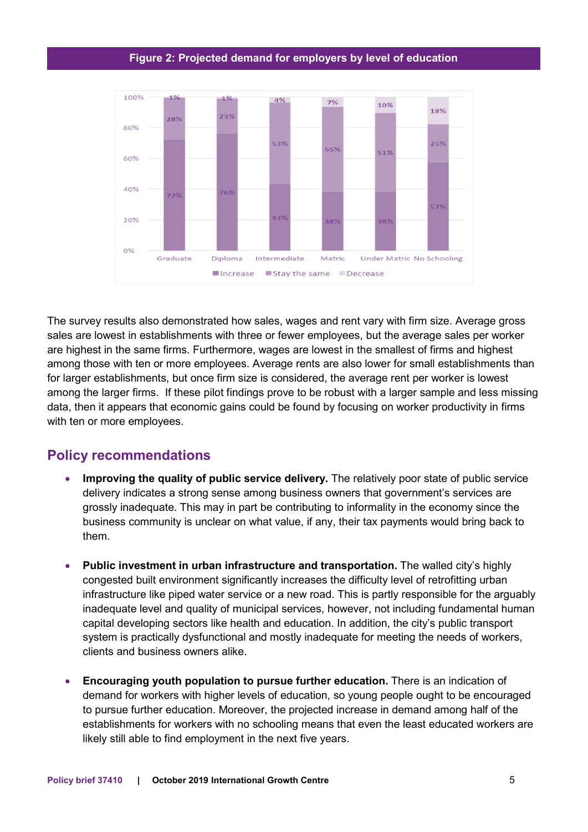#### **Figure 2: Projected demand for employers by level of education**



The survey results also demonstrated how sales, wages and rent vary with firm size. Average gross sales are lowest in establishments with three or fewer employees, but the average sales per worker are highest in the same firms. Furthermore, wages are lowest in the smallest of firms and highest among those with ten or more employees. Average rents are also lower for small establishments than for larger establishments, but once firm size is considered, the average rent per worker is lowest among the larger firms. If these pilot findings prove to be robust with a larger sample and less missing data, then it appears that economic gains could be found by focusing on worker productivity in firms with ten or more employees.

## **Policy recommendations**

- Improving the quality of public service delivery. The relatively poor state of public service delivery indicates a strong sense among business owners that government's services are grossly inadequate. This may in part be contributing to informality in the economy since the business community is unclear on what value, if any, their tax payments would bring back to them.
- **Public investment in urban infrastructure and transportation.** The walled city's highly congested built environment significantly increases the difficulty level of retrofitting urban infrastructure like piped water service or a new road. This is partly responsible for the arguably inadequate level and quality of municipal services, however, not including fundamental human capital developing sectors like health and education. In addition, the city's public transport system is practically dysfunctional and mostly inadequate for meeting the needs of workers, clients and business owners alike.
- **Encouraging youth population to pursue further education.** There is an indication of demand for workers with higher levels of education, so young people ought to be encouraged to pursue further education. Moreover, the projected increase in demand among half of the establishments for workers with no schooling means that even the least educated workers are likely still able to find employment in the next five years.